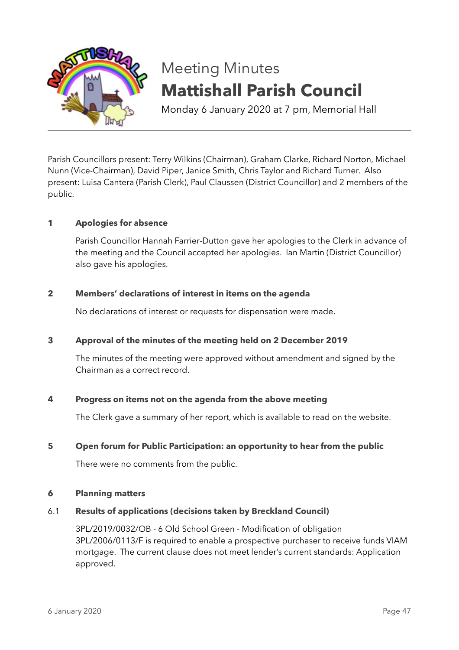

# Meeting Minutes **Mattishall Parish Council**

Monday 6 January 2020 at 7 pm, Memorial Hall

Parish Councillors present: Terry Wilkins (Chairman), Graham Clarke, Richard Norton, Michael Nunn (Vice-Chairman), David Piper, Janice Smith, Chris Taylor and Richard Turner. Also present: Luisa Cantera (Parish Clerk), Paul Claussen (District Councillor) and 2 members of the public.

# **1 Apologies for absence**

Parish Councillor Hannah Farrier-Dutton gave her apologies to the Clerk in advance of the meeting and the Council accepted her apologies. Ian Martin (District Councillor) also gave his apologies.

# **2 Members' declarations of interest in items on the agenda**

No declarations of interest or requests for dispensation were made.

# **3 Approval of the minutes of the meeting held on 2 December 2019**

The minutes of the meeting were approved without amendment and signed by the Chairman as a correct record.

# **4 Progress on items not on the agenda from the above meeting**

The Clerk gave a summary of her report, which is available to read on the website.

# **5 Open forum for Public Participation: an opportunity to hear from the public**

There were no comments from the public.

## **6 Planning matters**

# 6.1 **Results of applications (decisions taken by Breckland Council)**

3PL/2019/0032/OB - 6 Old School Green - Modification of obligation 3PL/2006/0113/F is required to enable a prospective purchaser to receive funds VIAM mortgage. The current clause does not meet lender's current standards: Application approved.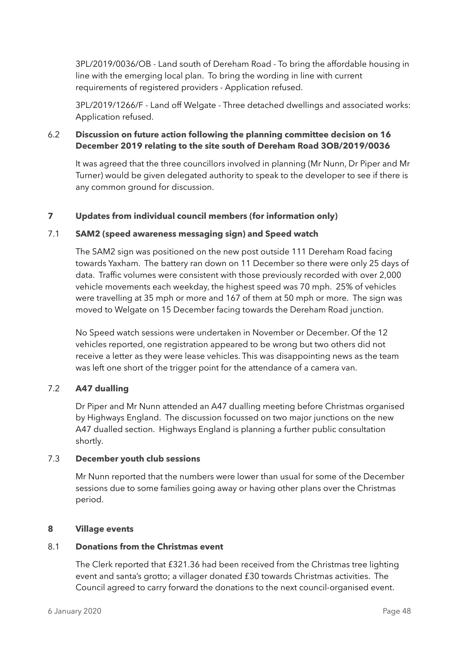3PL/2019/0036/OB - Land south of Dereham Road - To bring the affordable housing in line with the emerging local plan. To bring the wording in line with current requirements of registered providers - Application refused.

3PL/2019/1266/F - Land off Welgate - Three detached dwellings and associated works: Application refused.

# 6.2 **Discussion on future action following the planning committee decision on 16 December 2019 relating to the site south of Dereham Road 3OB/2019/0036**

It was agreed that the three councillors involved in planning (Mr Nunn, Dr Piper and Mr Turner) would be given delegated authority to speak to the developer to see if there is any common ground for discussion.

# **7 Updates from individual council members (for information only)**

# 7.1 **SAM2 (speed awareness messaging sign) and Speed watch**

The SAM2 sign was positioned on the new post outside 111 Dereham Road facing towards Yaxham. The battery ran down on 11 December so there were only 25 days of data. Traffic volumes were consistent with those previously recorded with over 2,000 vehicle movements each weekday, the highest speed was 70 mph. 25% of vehicles were travelling at 35 mph or more and 167 of them at 50 mph or more. The sign was moved to Welgate on 15 December facing towards the Dereham Road junction.

No Speed watch sessions were undertaken in November or December. Of the 12 vehicles reported, one registration appeared to be wrong but two others did not receive a letter as they were lease vehicles. This was disappointing news as the team was left one short of the trigger point for the attendance of a camera van.

# 7.2 **A47 dualling**

Dr Piper and Mr Nunn attended an A47 dualling meeting before Christmas organised by Highways England. The discussion focussed on two major junctions on the new A47 dualled section. Highways England is planning a further public consultation shortly.

# 7.3 **December youth club sessions**

Mr Nunn reported that the numbers were lower than usual for some of the December sessions due to some families going away or having other plans over the Christmas period.

# **8 Village events**

# 8.1 **Donations from the Christmas event**

The Clerk reported that £321.36 had been received from the Christmas tree lighting event and santa's grotto; a villager donated £30 towards Christmas activities. The Council agreed to carry forward the donations to the next council-organised event.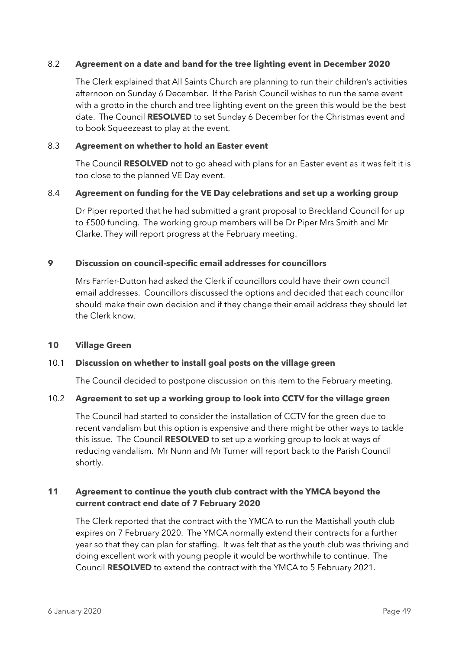## 8.2 **Agreement on a date and band for the tree lighting event in December 2020**

The Clerk explained that All Saints Church are planning to run their children's activities afternoon on Sunday 6 December. If the Parish Council wishes to run the same event with a grotto in the church and tree lighting event on the green this would be the best date. The Council **RESOLVED** to set Sunday 6 December for the Christmas event and to book Squeezeast to play at the event.

## 8.3 **Agreement on whether to hold an Easter event**

The Council **RESOLVED** not to go ahead with plans for an Easter event as it was felt it is too close to the planned VE Day event.

#### 8.4 **Agreement on funding for the VE Day celebrations and set up a working group**

Dr Piper reported that he had submitted a grant proposal to Breckland Council for up to £500 funding. The working group members will be Dr Piper Mrs Smith and Mr Clarke. They will report progress at the February meeting.

## **9 Discussion on council-specific email addresses for councillors**

Mrs Farrier-Dutton had asked the Clerk if councillors could have their own council email addresses. Councillors discussed the options and decided that each councillor should make their own decision and if they change their email address they should let the Clerk know.

#### **10 Village Green**

#### 10.1 **Discussion on whether to install goal posts on the village green**

The Council decided to postpone discussion on this item to the February meeting.

#### 10.2 **Agreement to set up a working group to look into CCTV for the village green**

The Council had started to consider the installation of CCTV for the green due to recent vandalism but this option is expensive and there might be other ways to tackle this issue. The Council **RESOLVED** to set up a working group to look at ways of reducing vandalism. Mr Nunn and Mr Turner will report back to the Parish Council shortly.

# **11 Agreement to continue the youth club contract with the YMCA beyond the current contract end date of 7 February 2020**

The Clerk reported that the contract with the YMCA to run the Mattishall youth club expires on 7 February 2020. The YMCA normally extend their contracts for a further year so that they can plan for staffing. It was felt that as the youth club was thriving and doing excellent work with young people it would be worthwhile to continue. The Council **RESOLVED** to extend the contract with the YMCA to 5 February 2021.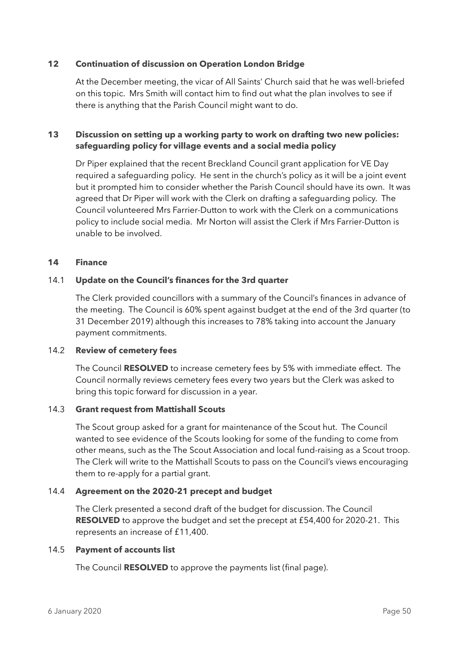## **12 Continuation of discussion on Operation London Bridge**

At the December meeting, the vicar of All Saints' Church said that he was well-briefed on this topic. Mrs Smith will contact him to find out what the plan involves to see if there is anything that the Parish Council might want to do.

# **13 Discussion on setting up a working party to work on drafting two new policies: safeguarding policy for village events and a social media policy**

Dr Piper explained that the recent Breckland Council grant application for VE Day required a safeguarding policy. He sent in the church's policy as it will be a joint event but it prompted him to consider whether the Parish Council should have its own. It was agreed that Dr Piper will work with the Clerk on drafting a safeguarding policy. The Council volunteered Mrs Farrier-Dutton to work with the Clerk on a communications policy to include social media. Mr Norton will assist the Clerk if Mrs Farrier-Dutton is unable to be involved.

## **14 Finance**

## 14.1 **Update on the Council's finances for the 3rd quarter**

The Clerk provided councillors with a summary of the Council's finances in advance of the meeting. The Council is 60% spent against budget at the end of the 3rd quarter (to 31 December 2019) although this increases to 78% taking into account the January payment commitments.

#### 14.2 **Review of cemetery fees**

The Council **RESOLVED** to increase cemetery fees by 5% with immediate effect. The Council normally reviews cemetery fees every two years but the Clerk was asked to bring this topic forward for discussion in a year.

#### 14.3 **Grant request from Mattishall Scouts**

The Scout group asked for a grant for maintenance of the Scout hut. The Council wanted to see evidence of the Scouts looking for some of the funding to come from other means, such as the The Scout Association and local fund-raising as a Scout troop. The Clerk will write to the Mattishall Scouts to pass on the Council's views encouraging them to re-apply for a partial grant.

#### 14.4 **Agreement on the 2020-21 precept and budget**

The Clerk presented a second draft of the budget for discussion. The Council **RESOLVED** to approve the budget and set the precept at £54,400 for 2020-21. This represents an increase of £11,400.

#### 14.5 **Payment of accounts list**

The Council **RESOLVED** to approve the payments list (final page).